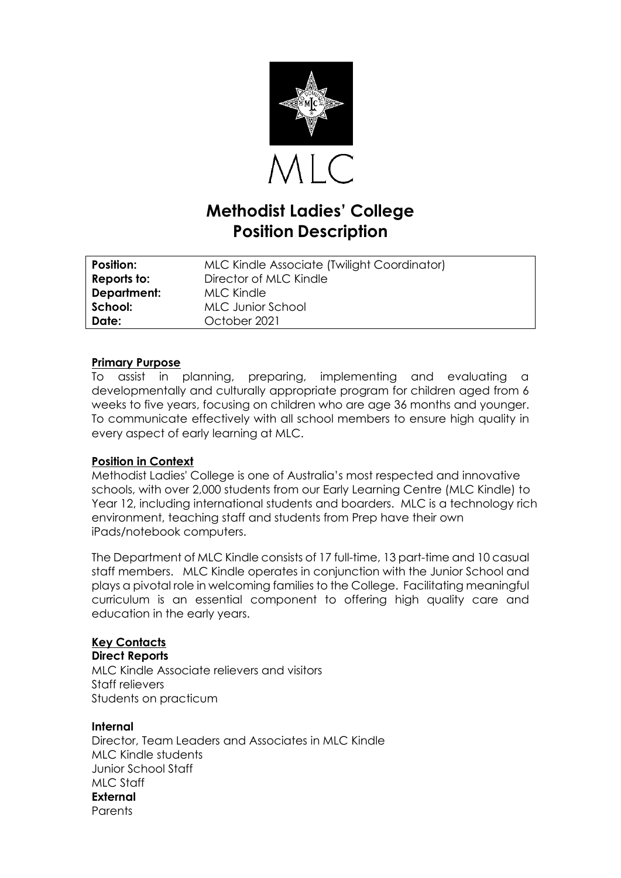

# **Methodist Ladies' College Position Description**

| Position:          | MLC Kindle Associate (Twilight Coordinator) |
|--------------------|---------------------------------------------|
| Reports to:        | Director of MLC Kindle                      |
| <b>Department:</b> | <b>MLC Kindle</b>                           |
| School:            | MLC Junior School                           |
| Date:              | October 2021                                |

#### **Primary Purpose**

To assist in planning, preparing, implementing and evaluating a developmentally and culturally appropriate program for children aged from 6 weeks to five years, focusing on children who are age 36 months and younger. To communicate effectively with all school members to ensure high quality in every aspect of early learning at MLC.

### **Position in Context**

Methodist Ladies' College is one of Australia's most respected and innovative schools, with over 2,000 students from our Early Learning Centre (MLC Kindle) to Year 12, including international students and boarders. MLC is a technology rich environment, teaching staff and students from Prep have their own iPads/notebook computers.

The Department of MLC Kindle consists of 17 full-time, 13 part-time and 10 casual staff members. MLC Kindle operates in conjunction with the Junior School and plays a pivotal role in welcoming families to the College. Facilitating meaningful curriculum is an essential component to offering high quality care and education in the early years.

# **Key Contacts**

**Direct Reports**

MLC Kindle Associate relievers and visitors Staff relievers Students on practicum

#### **Internal**

Director, Team Leaders and Associates in MLC Kindle MLC Kindle students Junior School Staff MLC Staff **External Parents**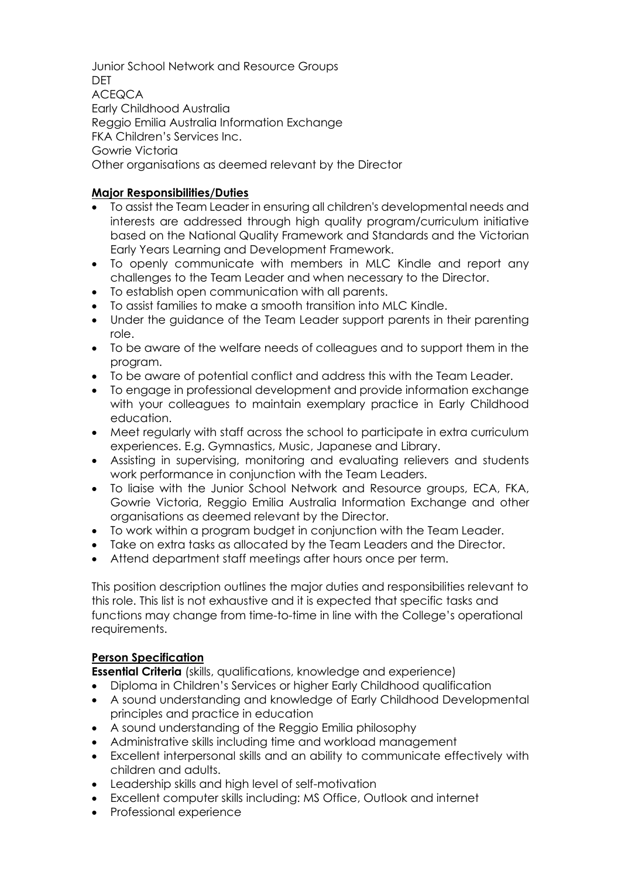Junior School Network and Resource Groups **DET** ACEQCA Early Childhood Australia Reggio Emilia Australia Information Exchange FKA Children's Services Inc. Gowrie Victoria Other organisations as deemed relevant by the Director

## **Major Responsibilities/Duties**

- To assist the Team Leader in ensuring all children's developmental needs and interests are addressed through high quality program/curriculum initiative based on the National Quality Framework and Standards and the Victorian Early Years Learning and Development Framework.
- To openly communicate with members in MLC Kindle and report any challenges to the Team Leader and when necessary to the Director.
- To establish open communication with all parents.
- To assist families to make a smooth transition into MLC Kindle.
- Under the quidance of the Team Leader support parents in their parenting role.
- To be aware of the welfare needs of colleagues and to support them in the program.
- To be aware of potential conflict and address this with the Team Leader.
- To engage in professional development and provide information exchange with your colleagues to maintain exemplary practice in Early Childhood education.
- Meet regularly with staff across the school to participate in extra curriculum experiences. E.g. Gymnastics, Music, Japanese and Library.
- Assisting in supervising, monitoring and evaluating relievers and students work performance in conjunction with the Team Leaders.
- To liaise with the Junior School Network and Resource groups, ECA, FKA, Gowrie Victoria, Reggio Emilia Australia Information Exchange and other organisations as deemed relevant by the Director.
- To work within a program budget in conjunction with the Team Leader.
- Take on extra tasks as allocated by the Team Leaders and the Director.
- Attend department staff meetings after hours once per term.

This position description outlines the major duties and responsibilities relevant to this role. This list is not exhaustive and it is expected that specific tasks and functions may change from time-to-time in line with the College's operational requirements.

# **Person Specification**

**Essential Criteria** (skills, qualifications, knowledge and experience)

- Diploma in Children's Services or higher Early Childhood qualification
- A sound understanding and knowledge of Early Childhood Developmental principles and practice in education
- A sound understanding of the Reggio Emilia philosophy
- Administrative skills including time and workload management
- Excellent interpersonal skills and an ability to communicate effectively with children and adults.
- Leadership skills and high level of self-motivation
- Excellent computer skills including: MS Office, Outlook and internet
- Professional experience